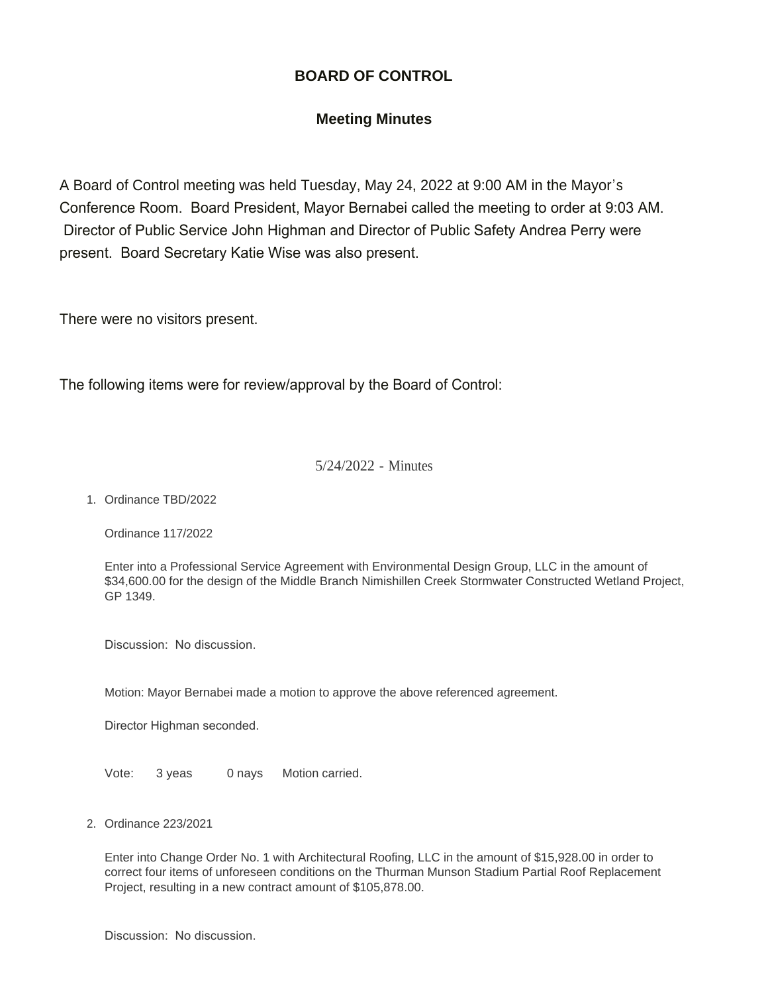# **BOARD OF CONTROL**

# **Meeting Minutes**

A Board of Control meeting was held Tuesday, May 24, 2022 at 9:00 AM in the Mayor's Conference Room. Board President, Mayor Bernabei called the meeting to order at 9:03 AM. Director of Public Service John Highman and Director of Public Safety Andrea Perry were present. Board Secretary Katie Wise was also present.

There were no visitors present.

The following items were for review/approval by the Board of Control:

### 5/24/2022 - Minutes

1. Ordinance TBD/2022

Ordinance 117/2022

Enter into a Professional Service Agreement with Environmental Design Group, LLC in the amount of \$34,600.00 for the design of the Middle Branch Nimishillen Creek Stormwater Constructed Wetland Project, GP 1349.

Discussion: No discussion.

Motion: Mayor Bernabei made a motion to approve the above referenced agreement.

Director Highman seconded.

Vote: 3 yeas 0 nays Motion carried.

Ordinance 223/2021 2.

Enter into Change Order No. 1 with Architectural Roofing, LLC in the amount of \$15,928.00 in order to correct four items of unforeseen conditions on the Thurman Munson Stadium Partial Roof Replacement Project, resulting in a new contract amount of \$105,878.00.

Discussion: No discussion.